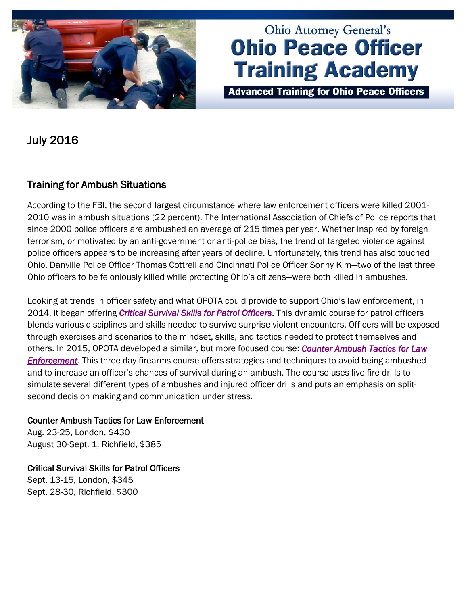

# **Ohio Attorney General's Ohio Peace Officer Training Academy**

**Advanced Training for Ohio Peace Officers** 

July 2016

## Training for Ambush Situations

According to the FBI, the second largest circumstance where law enforcement officers were killed 2001- 2010 was in ambush situations (22 percent). The International Association of Chiefs of Police reports that since 2000 police officers are ambushed an average of 215 times per year. Whether inspired by foreign terrorism, or motivated by an anti-government or anti-police bias, the trend of targeted violence against police officers appears to be increasing after years of decline. Unfortunately, this trend has also touched Ohio. Danville Police Officer Thomas Cottrell and Cincinnati Police Officer Sonny Kim—two of the last three Ohio officers to be feloniously killed while protecting Ohio's citizens—were both killed in ambushes.

Looking at trends in officer safety and what OPOTA could provide to support Ohio's law enforcement, in 2014, it began offering *[Critical Survival Skills for Patrol Officers](http://www.ohioattorneygeneral.gov/Law-Enforcement/Ohio-Peace-Officer-Training-Academy/Course-Catalog/Course-Categories/Patrol-Courses/Critical-Survival-Skills-for-Patrol-Officers)*. This dynamic course for patrol officers blends various disciplines and skills needed to survive surprise violent encounters. Officers will be exposed through exercises and scenarios to the mindset, skills, and tactics needed to protect themselves and others. In 2015, OPOTA developed a similar, but more focused course: *[Counter Ambush Tactics for Law](http://www.ohioattorneygeneral.gov/Law-Enforcement/Ohio-Peace-Officer-Training-Academy/Course-Catalog/Course-Categories/Firearms-Courses/Counter-Ambush-Tactics-for-Law-Enforcement)  [Enforcement](http://www.ohioattorneygeneral.gov/Law-Enforcement/Ohio-Peace-Officer-Training-Academy/Course-Catalog/Course-Categories/Firearms-Courses/Counter-Ambush-Tactics-for-Law-Enforcement)*. This three-day firearms course offers strategies and techniques to avoid being ambushed and to increase an officer's chances of survival during an ambush. The course uses live-fire drills to simulate several different types of ambushes and injured officer drills and puts an emphasis on splitsecond decision making and communication under stress.

#### Counter Ambush Tactics for Law Enforcement

Aug. 23-25, London, \$430 August 30-Sept. 1, Richfield, \$385

Critical Survival Skills for Patrol Officers Sept. 13-15, London, \$345 Sept. 28-30, Richfield, \$300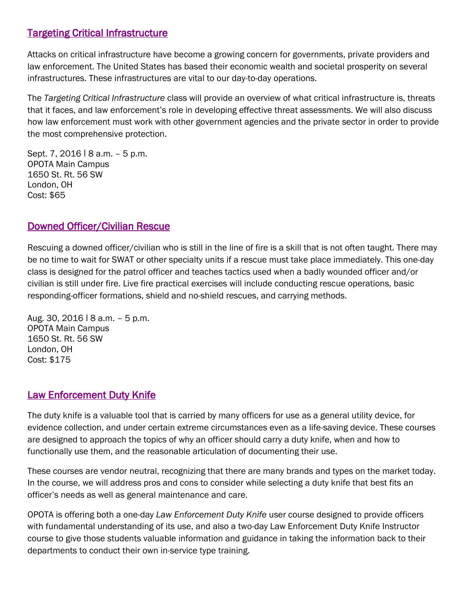## [Targeting Critical Infrastructure](http://www.ohioattorneygeneral.gov/Law-Enforcement/Ohio-Peace-Officer-Training-Academy/Course-Catalog/Course-Categories/Homeland-Security-Courses#OPOTA808)

Attacks on critical infrastructure have become a growing concern for governments, private providers and law enforcement. The United States has based their economic wealth and societal prosperity on several infrastructures. These infrastructures are vital to our day-to-day operations.

The *Targeting Critical Infrastructure* class will provide an overview of what critical infrastructure is, threats that it faces, and law enforcement's role in developing effective threat assessments. We will also discuss how law enforcement must work with other government agencies and the private sector in order to provide the most comprehensive protection.

Sept. 7, 2016 | 8 a.m. - 5 p.m. OPOTA Main Campus 1650 St. Rt. 56 SW London, OH Cost: \$65

### [Downed Officer/Civilian Rescue](http://www.ohioattorneygeneral.gov/Law-Enforcement/Ohio-Peace-Officer-Training-Academy/Course-Catalog/Course-Categories/Firearms-Courses#OPOTA102)

Rescuing a downed officer/civilian who is still in the line of fire is a skill that is not often taught. There may be no time to wait for SWAT or other specialty units if a rescue must take place immediately. This one-day class is designed for the patrol officer and teaches tactics used when a badly wounded officer and/or civilian is still under fire. Live fire practical exercises will include conducting rescue operations, basic responding-officer formations, shield and no-shield rescues, and carrying methods.

Aug. 30, 2016 ǀ 8 a.m. – 5 p.m. OPOTA Main Campus 1650 St. Rt. 56 SW London, OH Cost: \$175

#### [Law Enforcement Duty Knife](http://www.ohioattorneygeneral.gov/Law-Enforcement/Ohio-Peace-Officer-Training-Academy/Course-Catalog/Course-Categories/Patrol-Courses#OPOTA870)

The duty knife is a valuable tool that is carried by many officers for use as a general utility device, for evidence collection, and under certain extreme circumstances even as a life-saving device. These courses are designed to approach the topics of why an officer should carry a duty knife, when and how to functionally use them, and the reasonable articulation of documenting their use.

These courses are vendor neutral, recognizing that there are many brands and types on the market today. In the course, we will address pros and cons to consider while selecting a duty knife that best fits an officer's needs as well as general maintenance and care.

OPOTA is offering both a one-day *Law Enforcement Duty Knife* user course designed to provide officers with fundamental understanding of its use, and also a two-day Law Enforcement Duty Knife Instructor course to give those students valuable information and guidance in taking the information back to their departments to conduct their own in-service type training.